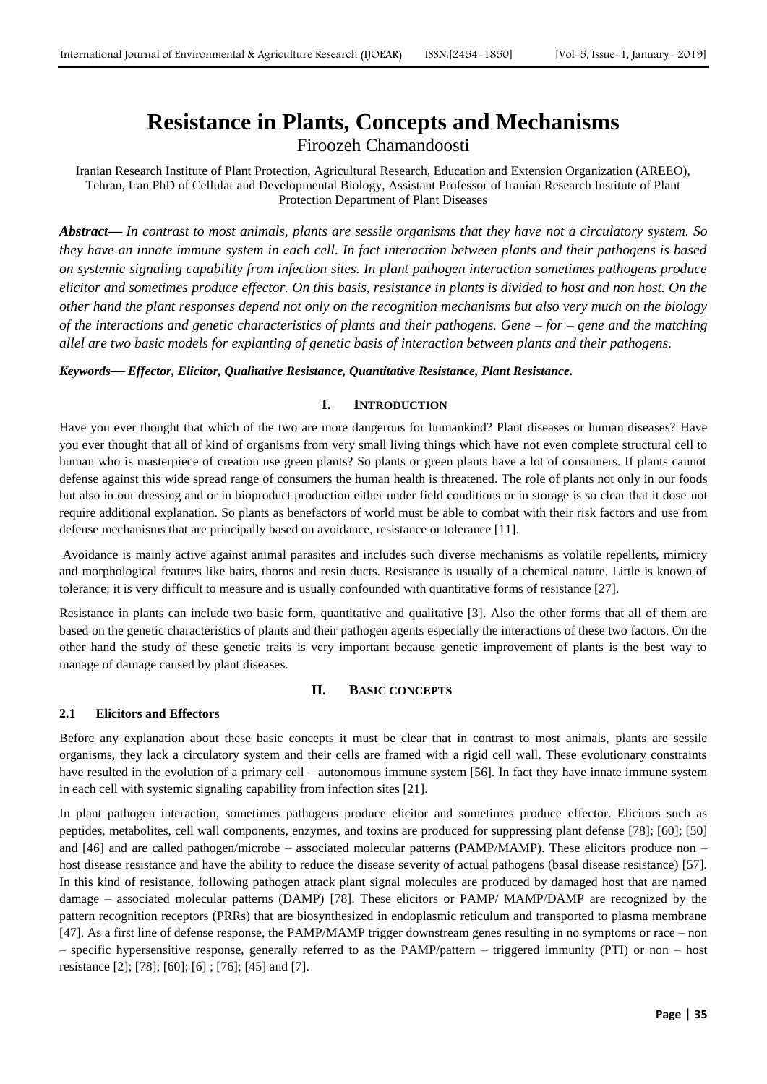# **Resistance in Plants, Concepts and Mechanisms** Firoozeh Chamandoosti

Iranian Research Institute of Plant Protection, Agricultural Research, Education and Extension Organization (AREEO), Tehran, Iran PhD of Cellular and Developmental Biology, Assistant Professor of Iranian Research Institute of Plant Protection Department of Plant Diseases

*Abstract***—** *In contrast to most animals, plants are sessile organisms that they have not a circulatory system. So they have an innate immune system in each cell. In fact interaction between plants and their pathogens is based on systemic signaling capability from infection sites. In plant pathogen interaction sometimes pathogens produce elicitor and sometimes produce effector. On this basis, resistance in plants is divided to host and non host. On the other hand the plant responses depend not only on the recognition mechanisms but also very much on the biology of the interactions and genetic characteristics of plants and their pathogens. Gene – for – gene and the matching allel are two basic models for explanting of genetic basis of interaction between plants and their pathogens.*

## *Keywords***—** *Effector, Elicitor, Qualitative Resistance, Quantitative Resistance, Plant Resistance.*

## **I. INTRODUCTION**

Have you ever thought that which of the two are more dangerous for humankind? Plant diseases or human diseases? Have you ever thought that all of kind of organisms from very small living things which have not even complete structural cell to human who is masterpiece of creation use green plants? So plants or green plants have a lot of consumers. If plants cannot defense against this wide spread range of consumers the human health is threatened. The role of plants not only in our foods but also in our dressing and or in bioproduct production either under field conditions or in storage is so clear that it dose not require additional explanation. So plants as benefactors of world must be able to combat with their risk factors and use from defense mechanisms that are principally based on avoidance, resistance or tolerance [11].

Avoidance is mainly active against animal parasites and includes such diverse mechanisms as volatile repellents, mimicry and morphological features like hairs, thorns and resin ducts. Resistance is usually of a chemical nature. Little is known of tolerance; it is very difficult to measure and is usually confounded with quantitative forms of resistance [27].

Resistance in plants can include two basic form, quantitative and qualitative [3]. Also the other forms that all of them are based on the genetic characteristics of plants and their pathogen agents especially the interactions of these two factors. On the other hand the study of these genetic traits is very important because genetic improvement of plants is the best way to manage of damage caused by plant diseases.

## **II. BASIC CONCEPTS**

## **2.1 Elicitors and Effectors**

Before any explanation about these basic concepts it must be clear that in contrast to most animals, plants are sessile organisms, they lack a circulatory system and their cells are framed with a rigid cell wall. These evolutionary constraints have resulted in the evolution of a primary cell – autonomous immune system [56]. In fact they have innate immune system in each cell with systemic signaling capability from infection sites [21].

In plant pathogen interaction, sometimes pathogens produce elicitor and sometimes produce effector. Elicitors such as peptides, metabolites, cell wall components, enzymes, and toxins are produced for suppressing plant defense [78]; [60]; [50] and [46] and are called pathogen/microbe – associated molecular patterns (PAMP/MAMP). These elicitors produce non – host disease resistance and have the ability to reduce the disease severity of actual pathogens (basal disease resistance) [57]. In this kind of resistance, following pathogen attack plant signal molecules are produced by damaged host that are named damage – associated molecular patterns (DAMP) [78]. These elicitors or PAMP/ MAMP/DAMP are recognized by the pattern recognition receptors (PRRs) that are biosynthesized in endoplasmic reticulum and transported to plasma membrane [47]. As a first line of defense response, the PAMP/MAMP trigger downstream genes resulting in no symptoms or race – non – specific hypersensitive response, generally referred to as the PAMP/pattern – triggered immunity (PTI) or non – host resistance [2]; [78]; [60]; [6] ; [76]; [45] and [7].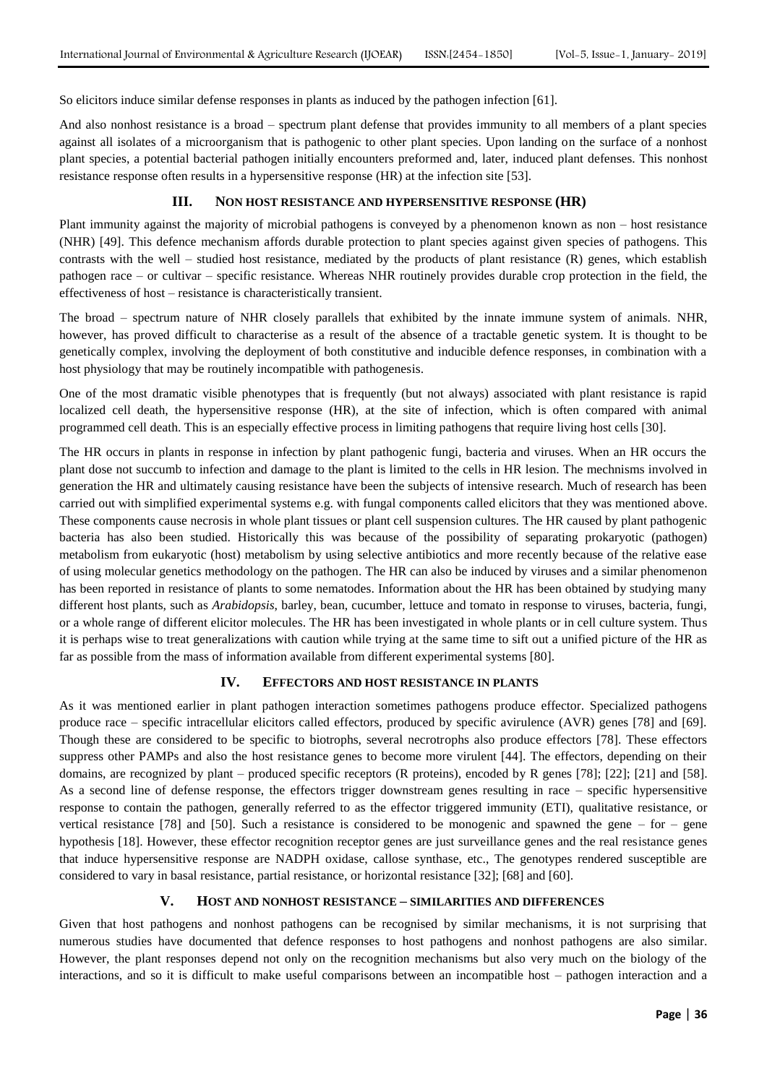So elicitors induce similar defense responses in plants as induced by the pathogen infection [61].

And also nonhost resistance is a broad – spectrum plant defense that provides immunity to all members of a plant species against all isolates of a microorganism that is pathogenic to other plant species. Upon landing on the surface of a nonhost plant species, a potential bacterial pathogen initially encounters preformed and, later, induced plant defenses. This nonhost resistance response often results in a hypersensitive response (HR) at the infection site [53].

#### **III. NON HOST RESISTANCE AND HYPERSENSITIVE RESPONSE (HR)**

Plant immunity against the majority of microbial pathogens is conveyed by a phenomenon known as non – host resistance (NHR) [49]. This defence mechanism affords durable protection to plant species against given species of pathogens. This contrasts with the well – studied host resistance, mediated by the products of plant resistance (R) genes, which establish pathogen race – or cultivar – specific resistance. Whereas NHR routinely provides durable crop protection in the field, the effectiveness of host – resistance is characteristically transient.

The broad – spectrum nature of NHR closely parallels that exhibited by the innate immune system of animals. NHR, however, has proved difficult to characterise as a result of the absence of a tractable genetic system. It is thought to be genetically complex, involving the deployment of both constitutive and inducible defence responses, in combination with a host physiology that may be routinely incompatible with pathogenesis.

One of the most dramatic visible phenotypes that is frequently (but not always) associated with plant resistance is rapid localized cell death, the hypersensitive response (HR), at the site of infection, which is often compared with animal programmed cell death. This is an especially effective process in limiting pathogens that require living host cells [30].

The HR occurs in plants in response in infection by plant pathogenic fungi, bacteria and viruses. When an HR occurs the plant dose not succumb to infection and damage to the plant is limited to the cells in HR lesion. The mechnisms involved in generation the HR and ultimately causing resistance have been the subjects of intensive research. Much of research has been carried out with simplified experimental systems e.g. with fungal components called elicitors that they was mentioned above. These components cause necrosis in whole plant tissues or plant cell suspension cultures. The HR caused by plant pathogenic bacteria has also been studied. Historically this was because of the possibility of separating prokaryotic (pathogen) metabolism from eukaryotic (host) metabolism by using selective antibiotics and more recently because of the relative ease of using molecular genetics methodology on the pathogen. The HR can also be induced by viruses and a similar phenomenon has been reported in resistance of plants to some nematodes. Information about the HR has been obtained by studying many different host plants, such as *Arabidopsis*, barley, bean, cucumber, lettuce and tomato in response to viruses, bacteria, fungi, or a whole range of different elicitor molecules. The HR has been investigated in whole plants or in cell culture system. Thus it is perhaps wise to treat generalizations with caution while trying at the same time to sift out a unified picture of the HR as far as possible from the mass of information available from different experimental systems [80].

## **IV. EFFECTORS AND HOST RESISTANCE IN PLANTS**

As it was mentioned earlier in plant pathogen interaction sometimes pathogens produce effector. Specialized pathogens produce race – specific intracellular elicitors called effectors, produced by specific avirulence (AVR) genes [78] and [69]. Though these are considered to be specific to biotrophs, several necrotrophs also produce effectors [78]. These effectors suppress other PAMPs and also the host resistance genes to become more virulent [44]. The effectors, depending on their domains, are recognized by plant – produced specific receptors (R proteins), encoded by R genes [78]; [22]; [21] and [58]. As a second line of defense response, the effectors trigger downstream genes resulting in race – specific hypersensitive response to contain the pathogen, generally referred to as the effector triggered immunity (ETI), qualitative resistance, or vertical resistance [78] and [50]. Such a resistance is considered to be monogenic and spawned the gene – for – gene hypothesis [18]. However, these effector recognition receptor genes are just surveillance genes and the real resistance genes that induce hypersensitive response are NADPH oxidase, callose synthase, etc., The genotypes rendered susceptible are considered to vary in basal resistance, partial resistance, or horizontal resistance [32]; [68] and [60].

## **V. HOST AND NONHOST RESISTANCE – SIMILARITIES AND DIFFERENCES**

Given that host pathogens and nonhost pathogens can be recognised by similar mechanisms, it is not surprising that numerous studies have documented that defence responses to host pathogens and nonhost pathogens are also similar. However, the plant responses depend not only on the recognition mechanisms but also very much on the biology of the interactions, and so it is difficult to make useful comparisons between an incompatible host – pathogen interaction and a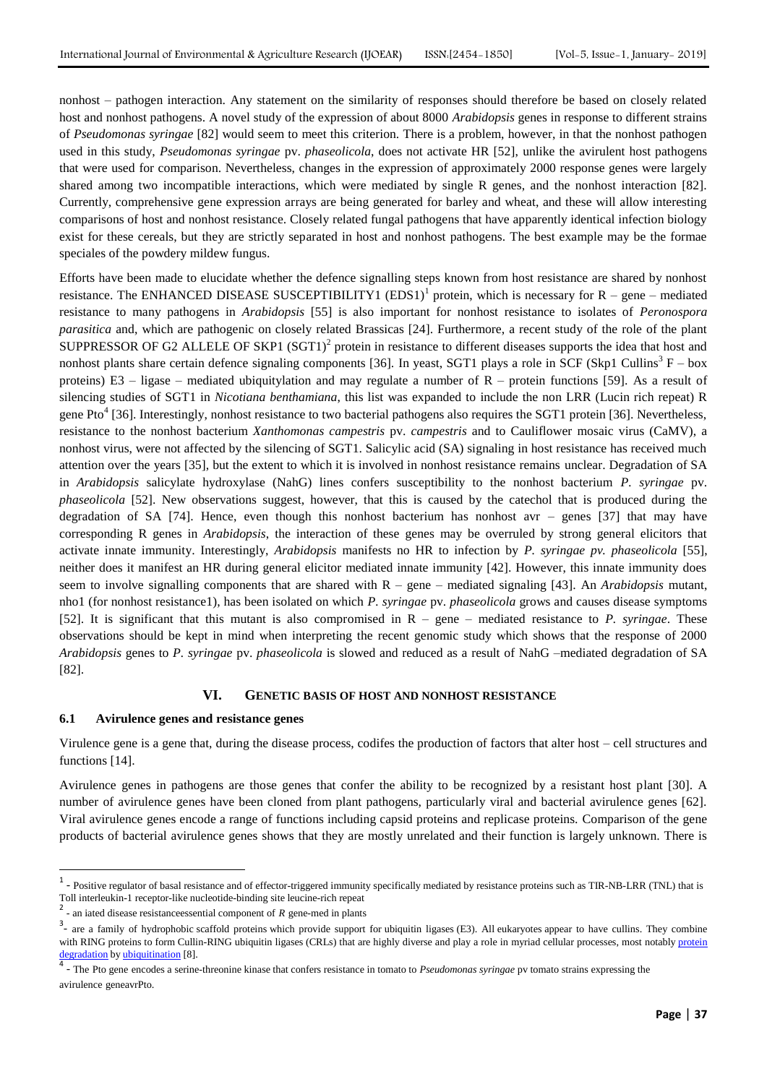nonhost – pathogen interaction. Any statement on the similarity of responses should therefore be based on closely related host and nonhost pathogens. A novel study of the expression of about 8000 *Arabidopsis* genes in response to different strains of *Pseudomonas syringae* [82] would seem to meet this criterion. There is a problem, however, in that the nonhost pathogen used in this study, *Pseudomonas syringae* pv. *phaseolicola*, does not activate HR [52], unlike the avirulent host pathogens that were used for comparison. Nevertheless, changes in the expression of approximately 2000 response genes were largely shared among two incompatible interactions, which were mediated by single R genes, and the nonhost interaction [82]. Currently, comprehensive gene expression arrays are being generated for barley and wheat, and these will allow interesting comparisons of host and nonhost resistance. Closely related fungal pathogens that have apparently identical infection biology exist for these cereals, but they are strictly separated in host and nonhost pathogens. The best example may be the formae speciales of the powdery mildew fungus.

Efforts have been made to elucidate whether the defence signalling steps known from host resistance are shared by nonhost resistance. The ENHANCED DISEASE SUSCEPTIBILITY1  $(EDS1)^1$  protein, which is necessary for  $R -$  gene – mediated resistance to many pathogens in *Arabidopsis* [55] is also important for nonhost resistance to isolates of *Peronospora parasitica* and, which are pathogenic on closely related Brassicas [24]. Furthermore, a recent study of the role of the plant SUPPRESSOR OF G2 ALLELE OF SKP1  $(SGT1)^2$  protein in resistance to different diseases supports the idea that host and nonhost plants share certain defence signaling components [36]. In yeast, SGT1 plays a role in SCF (Skp1 Cullins<sup>3</sup> F – box proteins) E3 – ligase – mediated ubiquitylation and may regulate a number of R – protein functions [59]. As a result of silencing studies of SGT1 in *Nicotiana benthamiana*, this list was expanded to include the non LRR (Lucin rich repeat) R gene Pto<sup>4</sup> [36]. Interestingly, nonhost resistance to two bacterial pathogens also requires the SGT1 protein [36]. Nevertheless, resistance to the nonhost bacterium *Xanthomonas campestris* pv. *campestris* and to Cauliflower mosaic virus (CaMV), a nonhost virus, were not affected by the silencing of SGT1. Salicylic acid (SA) signaling in host resistance has received much attention over the years [35], but the extent to which it is involved in nonhost resistance remains unclear. Degradation of SA in *Arabidopsis* salicylate hydroxylase (NahG) lines confers susceptibility to the nonhost bacterium *P. syringae* pv. *phaseolicola* [52]. New observations suggest, however, that this is caused by the catechol that is produced during the degradation of SA [74]. Hence, even though this nonhost bacterium has nonhost avr – genes [37] that may have corresponding R genes in *Arabidopsis*, the interaction of these genes may be overruled by strong general elicitors that activate innate immunity. Interestingly, *Arabidopsis* manifests no HR to infection by *P. syringae pv. phaseolicola* [55], neither does it manifest an HR during general elicitor mediated innate immunity [42]. However, this innate immunity does seem to involve signalling components that are shared with R – gene – mediated signaling [43]. An *Arabidopsis* mutant, nho1 (for nonhost resistance1), has been isolated on which *P. syringae* pv. *phaseolicola* grows and causes disease symptoms [52]. It is significant that this mutant is also compromised in R – gene – mediated resistance to *P. syringae*. These observations should be kept in mind when interpreting the recent genomic study which shows that the response of 2000 *Arabidopsis* genes to *P. syringae* pv. *phaseolicola* is slowed and reduced as a result of NahG –mediated degradation of SA [82].

#### **VI. GENETIC BASIS OF HOST AND NONHOST RESISTANCE**

#### **6.1 Avirulence genes and resistance genes**

1

Virulence gene is a gene that, during the disease process, codifes the production of factors that alter host – cell structures and functions [14].

Avirulence genes in pathogens are those genes that confer the ability to be recognized by a resistant host plant [30]. A number of avirulence genes have been cloned from plant pathogens, particularly viral and bacterial avirulence genes [62]. Viral avirulence genes encode a range of functions including capsid proteins and replicase proteins. Comparison of the gene products of bacterial avirulence genes shows that they are mostly unrelated and their function is largely unknown. There is

 $<sup>1</sup>$  - Positive regulator of basal resistance and of effector-triggered immunity specifically mediated by resistance proteins such as TIR-NB-LRR (TNL) that is</sup> Toll interleukin-1 receptor-like nucleotide-binding site leucine-rich repeat

<sup>2</sup> - an iated disease resistanceessential component of *R* gene-med in plants

<sup>&</sup>lt;sup>3</sup> are a family of hydrophobic [scaffold proteins](https://en.wikipedia.org/wiki/Scaffold_protein) which provide support for [ubiquitin ligases](https://en.wikipedia.org/wiki/Ubiquitin_ligase) (E3). All [eukaryotes](https://en.wikipedia.org/wiki/Eukaryote) appear to have cullins. They combine with [RING proteins](https://en.wikipedia.org/wiki/RING_finger_domain) to form Cullin-RING ubiquitin ligases (CRLs) that are highly diverse and play a role in myriad cellular processes, most notably protein [degradation](https://en.wikipedia.org/wiki/Proteolysis) by [ubiquitination](https://en.wikipedia.org/wiki/Ubiquitination) [8].

<sup>4</sup> - The Pto gene encodes a serine-threonine kinase that confers resistance in tomato to *Pseudomonas syringae* pv tomato strains expressing the avirulence geneavrPto.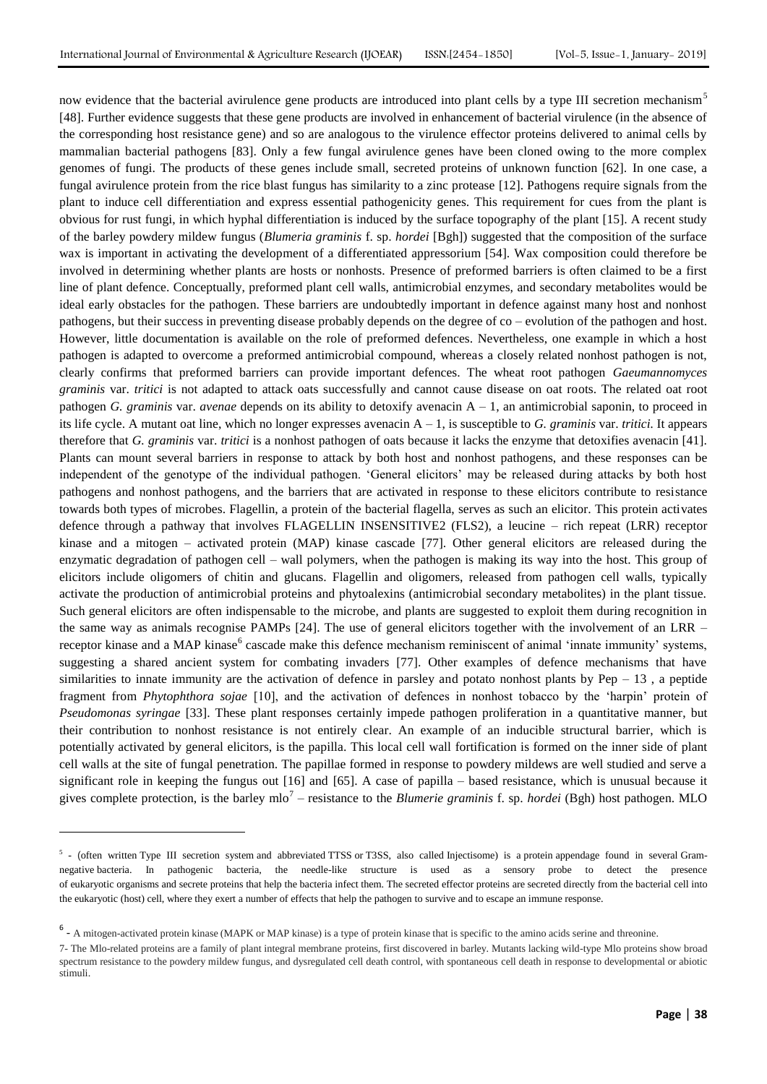now evidence that the bacterial avirulence gene products are introduced into plant cells by a type III secretion mechanism<sup>5</sup> [48]. Further evidence suggests that these gene products are involved in enhancement of bacterial virulence (in the absence of the corresponding host resistance gene) and so are analogous to the virulence effector proteins delivered to animal cells by mammalian bacterial pathogens [83]. Only a few fungal avirulence genes have been cloned owing to the more complex genomes of fungi. The products of these genes include small, secreted proteins of unknown function [62]. In one case, a fungal avirulence protein from the rice blast fungus has similarity to a zinc protease [12]. Pathogens require signals from the plant to induce cell differentiation and express essential pathogenicity genes. This requirement for cues from the plant is obvious for rust fungi, in which hyphal differentiation is induced by the surface topography of the plant [15]. A recent study of the barley powdery mildew fungus (*Blumeria graminis* f. sp. *hordei* [Bgh]) suggested that the composition of the surface wax is important in activating the development of a differentiated appressorium [54]. Wax composition could therefore be involved in determining whether plants are hosts or nonhosts. Presence of preformed barriers is often claimed to be a first line of plant defence. Conceptually, preformed plant cell walls, antimicrobial enzymes, and secondary metabolites would be ideal early obstacles for the pathogen. These barriers are undoubtedly important in defence against many host and nonhost pathogens, but their success in preventing disease probably depends on the degree of co – evolution of the pathogen and host. However, little documentation is available on the role of preformed defences. Nevertheless, one example in which a host pathogen is adapted to overcome a preformed antimicrobial compound, whereas a closely related nonhost pathogen is not, clearly confirms that preformed barriers can provide important defences. The wheat root pathogen *Gaeumannomyces graminis* var. *tritici* is not adapted to attack oats successfully and cannot cause disease on oat roots. The related oat root pathogen *G. graminis* var. *avenae* depends on its ability to detoxify avenacin A – 1, an antimicrobial saponin, to proceed in its life cycle. A mutant oat line, which no longer expresses avenacin A – 1, is susceptible to *G. graminis* var. *tritici.* It appears therefore that *G. graminis* var. *tritici* is a nonhost pathogen of oats because it lacks the enzyme that detoxifies avenacin [41]. Plants can mount several barriers in response to attack by both host and nonhost pathogens, and these responses can be independent of the genotype of the individual pathogen. "General elicitors" may be released during attacks by both host pathogens and nonhost pathogens, and the barriers that are activated in response to these elicitors contribute to resistance towards both types of microbes. Flagellin, a protein of the bacterial flagella, serves as such an elicitor. This protein activates defence through a pathway that involves FLAGELLIN INSENSITIVE2 (FLS2), a leucine – rich repeat (LRR) receptor kinase and a mitogen – activated protein (MAP) kinase cascade [77]. Other general elicitors are released during the enzymatic degradation of pathogen cell – wall polymers, when the pathogen is making its way into the host. This group of elicitors include oligomers of chitin and glucans. Flagellin and oligomers, released from pathogen cell walls, typically activate the production of antimicrobial proteins and phytoalexins (antimicrobial secondary metabolites) in the plant tissue. Such general elicitors are often indispensable to the microbe, and plants are suggested to exploit them during recognition in the same way as animals recognise PAMPs [24]. The use of general elicitors together with the involvement of an LRR – receptor kinase and a MAP kinase<sup>6</sup> cascade make this defence mechanism reminiscent of animal 'innate immunity' systems, suggesting a shared ancient system for combating invaders [77]. Other examples of defence mechanisms that have similarities to innate immunity are the activation of defence in parsley and potato nonhost plants by  $Pep - 13$ , a peptide fragment from *Phytophthora sojae* [10], and the activation of defences in nonhost tobacco by the "harpin" protein of *Pseudomonas syringae* [33]. These plant responses certainly impede pathogen proliferation in a quantitative manner, but their contribution to nonhost resistance is not entirely clear. An example of an inducible structural barrier, which is potentially activated by general elicitors, is the papilla. This local cell wall fortification is formed on the inner side of plant cell walls at the site of fungal penetration. The papillae formed in response to powdery mildews are well studied and serve a significant role in keeping the fungus out [16] and [65]. A case of papilla – based resistance, which is unusual because it gives complete protection, is the barley mlo<sup>7</sup> – resistance to the *Blumerie graminis* f. sp. *hordei* (Bgh) host pathogen. MLO

**.** 

<sup>&</sup>lt;sup>5</sup> - (often written Type III secretion system and abbreviated TTSS or T3SS, also called Injectisome) is a [protein](https://en.wikipedia.org/wiki/Protein) appendage found in several [Gram](https://en.wikipedia.org/wiki/Gram-negative)[negative](https://en.wikipedia.org/wiki/Gram-negative) [bacteria.](https://en.wikipedia.org/wiki/Bacteria) In pathogenic bacteria, the needle-like structure is used as a sensory probe to detect the presence of [eukaryotic](https://en.wikipedia.org/wiki/Eukaryotic) [organisms](https://en.wikipedia.org/wiki/Organism) and [secrete](https://en.wikipedia.org/wiki/Secretion) proteins that help the bacteria [infect](https://en.wikipedia.org/wiki/Infection) them. The secreted [effector proteins](https://en.wikipedia.org/wiki/Bacterial_effector_protein) are secreted directly from the bacterial [cell](https://en.wikipedia.org/wiki/Cell_(biology)) into the eukaryotic (host) cell, where they exert a number of effects that help the pathogen to survive and to escape an immune response.

<sup>&</sup>lt;sup>6</sup> - A mitogen-activated protein kinase (MAPK or MAP kinase) is a type of protein kinase that is specific to the amino acids serine and threonine.

<sup>7-</sup> The Mlo-related proteins are a family of plant integral membrane proteins, first discovered in barley. Mutants lacking wild-type Mlo proteins show broad spectrum resistance to the powdery mildew fungus, and dysregulated cell death control, with spontaneous cell death in response to developmental or abiotic stimuli.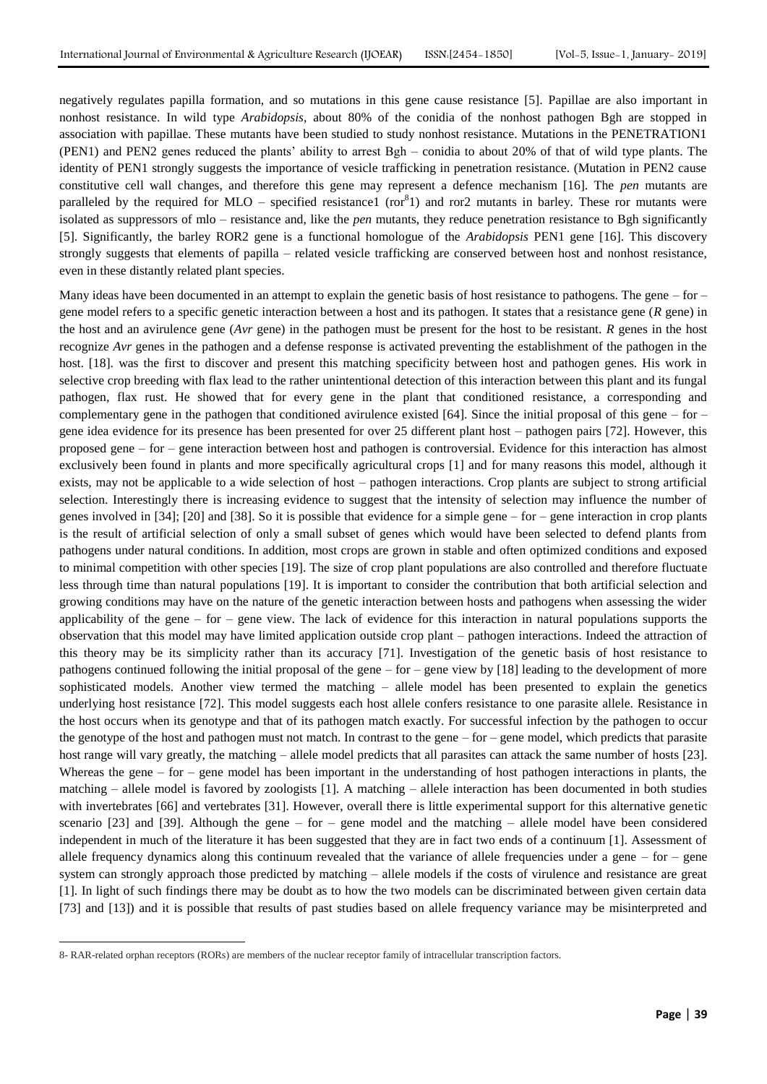negatively regulates papilla formation, and so mutations in this gene cause resistance [5]. Papillae are also important in nonhost resistance. In wild type *Arabidopsis*, about 80% of the conidia of the nonhost pathogen Bgh are stopped in association with papillae. These mutants have been studied to study nonhost resistance. Mutations in the PENETRATION1 (PEN1) and PEN2 genes reduced the plants" ability to arrest Bgh – conidia to about 20% of that of wild type plants. The identity of PEN1 strongly suggests the importance of vesicle trafficking in penetration resistance. (Mutation in PEN2 cause constitutive cell wall changes, and therefore this gene may represent a defence mechanism [16]. The *pen* mutants are paralleled by the required for MLO – specified resistance1 ( $\text{ror}^8$ 1) and ror2 mutants in barley. These ror mutants were isolated as suppressors of mlo – resistance and, like the *pen* mutants, they reduce penetration resistance to Bgh significantly [5]. Significantly, the barley ROR2 gene is a functional homologue of the *Arabidopsis* PEN1 gene [16]. This discovery strongly suggests that elements of papilla – related vesicle trafficking are conserved between host and nonhost resistance, even in these distantly related plant species.

Many ideas have been documented in an attempt to explain the genetic basis of host resistance to pathogens. The gene – for – gene model refers to a specific genetic interaction between a host and its pathogen. It states that a resistance gene (*R* gene) in the host and an avirulence gene (*Avr* gene) in the pathogen must be present for the host to be resistant. *R* genes in the host recognize *Avr* genes in the pathogen and a defense response is activated preventing the establishment of the pathogen in the host. [18]. was the first to discover and present this matching specificity between host and pathogen genes. His work in selective crop breeding with flax lead to the rather unintentional detection of this interaction between this plant and its fungal pathogen, flax rust. He showed that for every gene in the plant that conditioned resistance, a corresponding and complementary gene in the pathogen that conditioned avirulence existed  $[64]$ . Since the initial proposal of this gene – for – gene idea evidence for its presence has been presented for over 25 different plant host – pathogen pairs [72]. However, this proposed gene – for – gene interaction between host and pathogen is controversial. Evidence for this interaction has almost exclusively been found in plants and more specifically agricultural crops [1] and for many reasons this model, although it exists, may not be applicable to a wide selection of host – pathogen interactions. Crop plants are subject to strong artificial selection. Interestingly there is increasing evidence to suggest that the intensity of selection may influence the number of genes involved in [34]; [20] and [38]. So it is possible that evidence for a simple gene – for – gene interaction in crop plants is the result of artificial selection of only a small subset of genes which would have been selected to defend plants from pathogens under natural conditions. In addition, most crops are grown in stable and often optimized conditions and exposed to minimal competition with other species [19]. The size of crop plant populations are also controlled and therefore fluctuate less through time than natural populations [19]. It is important to consider the contribution that both artificial selection and growing conditions may have on the nature of the genetic interaction between hosts and pathogens when assessing the wider applicability of the gene – for – gene view. The lack of evidence for this interaction in natural populations supports the observation that this model may have limited application outside crop plant – pathogen interactions. Indeed the attraction of this theory may be its simplicity rather than its accuracy [71]. Investigation of the genetic basis of host resistance to pathogens continued following the initial proposal of the gene – for – gene view by [18] leading to the development of more sophisticated models. Another view termed the matching – allele model has been presented to explain the genetics underlying host resistance [72]. This model suggests each host allele confers resistance to one parasite allele. Resistance in the host occurs when its genotype and that of its pathogen match exactly. For successful infection by the pathogen to occur the genotype of the host and pathogen must not match. In contrast to the gene – for – gene model, which predicts that parasite host range will vary greatly, the matching – allele model predicts that all parasites can attack the same number of hosts [23]. Whereas the gene – for – gene model has been important in the understanding of host pathogen interactions in plants, the matching – allele model is favored by zoologists [1]. A matching – allele interaction has been documented in both studies with invertebrates [66] and vertebrates [31]. However, overall there is little experimental support for this alternative genetic scenario  $[23]$  and  $[39]$ . Although the gene – for – gene model and the matching – allele model have been considered independent in much of the literature it has been suggested that they are in fact two ends of a continuum [1]. Assessment of allele frequency dynamics along this continuum revealed that the variance of allele frequencies under a gene  $-$  for  $-$  gene system can strongly approach those predicted by matching – allele models if the costs of virulence and resistance are great [1]. In light of such findings there may be doubt as to how the two models can be discriminated between given certain data [73] and [13]) and it is possible that results of past studies based on allele frequency variance may be misinterpreted and

1

<sup>8-</sup> RAR-related orphan receptors (RORs) are members of the [nuclear receptor](https://en.wikipedia.org/wiki/Nuclear_receptor) family of [intracellular](https://en.wikipedia.org/wiki/Intracellular) [transcription factors.](https://en.wikipedia.org/wiki/Transcription_factor)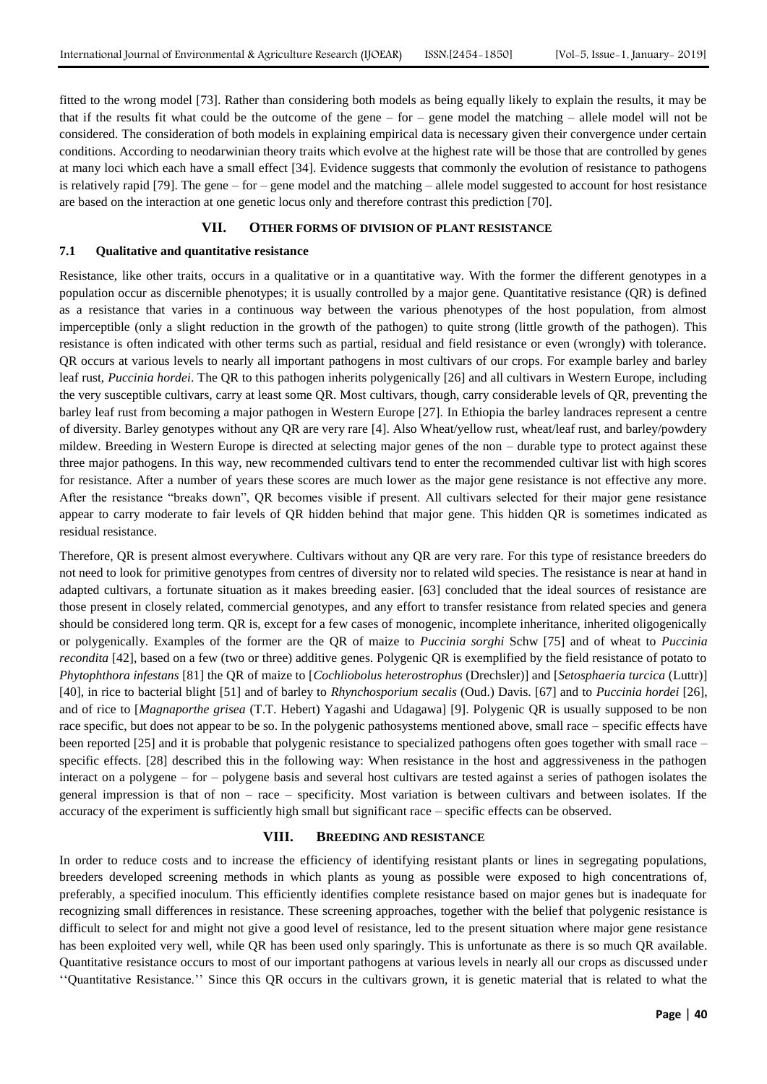fitted to the wrong model [73]. Rather than considering both models as being equally likely to explain the results, it may be that if the results fit what could be the outcome of the gene – for – gene model the matching – allele model will not be considered. The consideration of both models in explaining empirical data is necessary given their convergence under certain conditions. According to neodarwinian theory traits which evolve at the highest rate will be those that are controlled by genes at many loci which each have a small effect [34]. Evidence suggests that commonly the evolution of resistance to pathogens is relatively rapid [79]. The gene – for – gene model and the matching – allele model suggested to account for host resistance are based on the interaction at one genetic locus only and therefore contrast this prediction [70].

## **VII. OTHER FORMS OF DIVISION OF PLANT RESISTANCE**

#### **7.1 Qualitative and quantitative resistance**

Resistance, like other traits, occurs in a qualitative or in a quantitative way. With the former the different genotypes in a population occur as discernible phenotypes; it is usually controlled by a major gene. Quantitative resistance (QR) is defined as a resistance that varies in a continuous way between the various phenotypes of the host population, from almost imperceptible (only a slight reduction in the growth of the pathogen) to quite strong (little growth of the pathogen). This resistance is often indicated with other terms such as partial, residual and field resistance or even (wrongly) with tolerance. QR occurs at various levels to nearly all important pathogens in most cultivars of our crops. For example barley and barley leaf rust, *Puccinia hordei*. The QR to this pathogen inherits polygenically [26] and all cultivars in Western Europe, including the very susceptible cultivars, carry at least some QR. Most cultivars, though, carry considerable levels of QR, preventing the barley leaf rust from becoming a major pathogen in Western Europe [27]. In Ethiopia the barley landraces represent a centre of diversity. Barley genotypes without any QR are very rare [4]. Also Wheat/yellow rust, wheat/leaf rust, and barley/powdery mildew. Breeding in Western Europe is directed at selecting major genes of the non – durable type to protect against these three major pathogens. In this way, new recommended cultivars tend to enter the recommended cultivar list with high scores for resistance. After a number of years these scores are much lower as the major gene resistance is not effective any more. After the resistance "breaks down", QR becomes visible if present. All cultivars selected for their major gene resistance appear to carry moderate to fair levels of QR hidden behind that major gene. This hidden QR is sometimes indicated as residual resistance.

Therefore, QR is present almost everywhere. Cultivars without any QR are very rare. For this type of resistance breeders do not need to look for primitive genotypes from centres of diversity nor to related wild species. The resistance is near at hand in adapted cultivars, a fortunate situation as it makes breeding easier. [63] concluded that the ideal sources of resistance are those present in closely related, commercial genotypes, and any effort to transfer resistance from related species and genera should be considered long term. QR is, except for a few cases of monogenic, incomplete inheritance, inherited oligogenically or polygenically. Examples of the former are the QR of maize to *Puccinia sorghi* Schw [75] and of wheat to *Puccinia recondita* [42], based on a few (two or three) additive genes. Polygenic QR is exemplified by the field resistance of potato to *Phytophthora infestans* [81] the QR of maize to [*Cochliobolus heterostrophus* (Drechsler)] and [*Setosphaeria turcica* (Luttr)] [40], in rice to bacterial blight [51] and of barley to *Rhynchosporium secalis* (Oud.) Davis. [67] and to *Puccinia hordei* [26], and of rice to [*Magnaporthe grisea* (T.T. Hebert) Yagashi and Udagawa] [9]. Polygenic QR is usually supposed to be non race specific, but does not appear to be so. In the polygenic pathosystems mentioned above, small race – specific effects have been reported [25] and it is probable that polygenic resistance to specialized pathogens often goes together with small race – specific effects. [28] described this in the following way: When resistance in the host and aggressiveness in the pathogen interact on a polygene – for – polygene basis and several host cultivars are tested against a series of pathogen isolates the general impression is that of non – race – specificity. Most variation is between cultivars and between isolates. If the accuracy of the experiment is sufficiently high small but significant race – specific effects can be observed.

#### **VIII. BREEDING AND RESISTANCE**

In order to reduce costs and to increase the efficiency of identifying resistant plants or lines in segregating populations, breeders developed screening methods in which plants as young as possible were exposed to high concentrations of, preferably, a specified inoculum. This efficiently identifies complete resistance based on major genes but is inadequate for recognizing small differences in resistance. These screening approaches, together with the belief that polygenic resistance is difficult to select for and might not give a good level of resistance, led to the present situation where major gene resistance has been exploited very well, while QR has been used only sparingly. This is unfortunate as there is so much QR available. Quantitative resistance occurs to most of our important pathogens at various levels in nearly all our crops as discussed under ""Quantitative Resistance."" Since this QR occurs in the cultivars grown, it is genetic material that is related to what the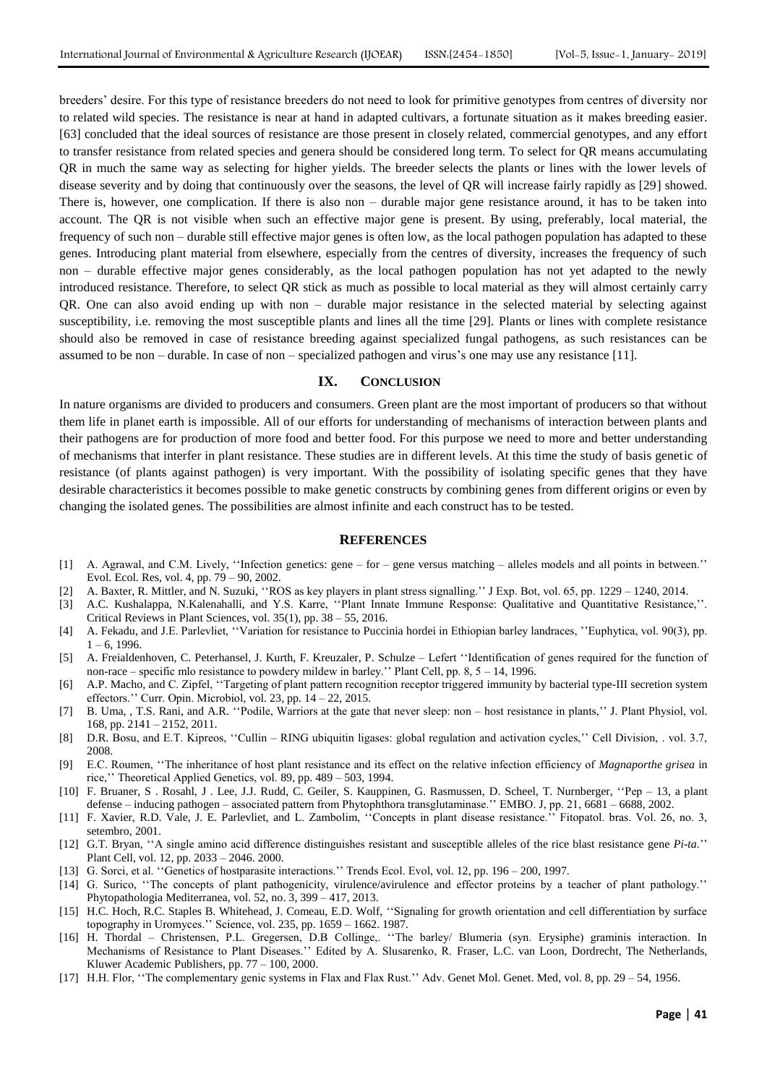breeders" desire. For this type of resistance breeders do not need to look for primitive genotypes from centres of diversity nor to related wild species. The resistance is near at hand in adapted cultivars, a fortunate situation as it makes breeding easier. [63] concluded that the ideal sources of resistance are those present in closely related, commercial genotypes, and any effort to transfer resistance from related species and genera should be considered long term. To select for QR means accumulating QR in much the same way as selecting for higher yields. The breeder selects the plants or lines with the lower levels of disease severity and by doing that continuously over the seasons, the level of QR will increase fairly rapidly as [29] showed. There is, however, one complication. If there is also non – durable major gene resistance around, it has to be taken into account. The QR is not visible when such an effective major gene is present. By using, preferably, local material, the frequency of such non – durable still effective major genes is often low, as the local pathogen population has adapted to these genes. Introducing plant material from elsewhere, especially from the centres of diversity, increases the frequency of such non – durable effective major genes considerably, as the local pathogen population has not yet adapted to the newly introduced resistance. Therefore, to select QR stick as much as possible to local material as they will almost certainly carry QR. One can also avoid ending up with non – durable major resistance in the selected material by selecting against susceptibility, i.e. removing the most susceptible plants and lines all the time [29]. Plants or lines with complete resistance should also be removed in case of resistance breeding against specialized fungal pathogens, as such resistances can be assumed to be non – durable. In case of non – specialized pathogen and virus's one may use any resistance  $[11]$ .

## **IX. CONCLUSION**

In nature organisms are divided to producers and consumers. Green plant are the most important of producers so that without them life in planet earth is impossible. All of our efforts for understanding of mechanisms of interaction between plants and their pathogens are for production of more food and better food. For this purpose we need to more and better understanding of mechanisms that interfer in plant resistance. These studies are in different levels. At this time the study of basis genetic of resistance (of plants against pathogen) is very important. With the possibility of isolating specific genes that they have desirable characteristics it becomes possible to make genetic constructs by combining genes from different origins or even by changing the isolated genes. The possibilities are almost infinite and each construct has to be tested.

#### **REFERENCES**

- [1] A. Agrawal, and C.M. Lively, ""Infection genetics: gene for gene versus matching alleles models and all points in between."" Evol. Ecol. Res, vol. 4, pp. 79 – 90, 2002.
- [2] A. Baxter, R. Mittler, and N. Suzuki, ""ROS as key players in plant stress signalling."" J Exp. Bot, vol. 65, pp. 1229 1240, 2014.
- [3] A.C. Kushalappa, N.Kalenahalli, and Y.S. Karre, "Plant Innate Immune Response: Qualitative and Quantitative Resistance,". Critical Reviews in Plant Sciences, vol. 35(1), pp. 38 – 55, 2016.
- [4] A. Fekadu, and J.E. Parlevliet, ""Variation for resistance to Puccinia hordei in Ethiopian barley landraces, ""Euphytica, vol. 90(3), pp.  $1 - 6$ , 1996.
- [5] A. Freialdenhoven, C. Peterhansel, J. Kurth, F. Kreuzaler, P. Schulze Lefert ""Identification of genes required for the function of non-race – specific mlo resistance to powdery mildew in barley."" Plant Cell, pp. 8, 5 – 14, 1996.
- [6] A.P. Macho, and C. Zipfel, ""Targeting of plant pattern recognition receptor triggered immunity by bacterial type-III secretion system effectors." Curr. Opin. Microbiol, vol. 23, pp. 14 – 22, 2015.
- [7] B. Uma, , T.S. Rani, and A.R. ""Podile, Warriors at the gate that never sleep: non host resistance in plants,"" J. Plant Physiol, vol. 168, pp. 2141 – 2152, 2011.
- [8] D.R. Bosu, and E.T. Kipreos, "Cullin RING ubiquitin ligases: global regulation and activation cycles," Cell Division, . vol. 3.7, 2008.
- [9] E.C. Roumen, ""The inheritance of host plant resistance and its effect on the relative infection efficiency of *Magnaporthe grisea* in rice,"" Theoretical Applied Genetics, vol. 89, pp. 489 – 503, 1994.
- [10] F. Bruaner, S . Rosahl, J . Lee, J.J. Rudd, C. Geiler, S. Kauppinen, G. Rasmussen, D. Scheel, T. Nurnberger, ""Pep 13, a plant defense – inducing pathogen – associated pattern from Phytophthora transglutaminase."" EMBO. J, pp. 21, 6681 – 6688, 2002.
- [11] F. Xavier, R.D. Vale, J. E. Parlevliet, and L. Zambolim, ""Concepts in plant disease resistance."" Fitopatol. bras. Vol. 26, no. 3, setembro, 2001.
- [12] G.T. Bryan, "A single amino acid difference distinguishes resistant and susceptible alleles of the rice blast resistance gene *Pi-ta*." Plant Cell, vol. 12, pp. 2033 – 2046. 2000.
- [13] G. Sorci, et al. ""Genetics of hostparasite interactions."" Trends Ecol. Evol, vol. 12, pp. 196 200, 1997.
- [14] G. Surico, ""The concepts of plant pathogenicity, virulence/avirulence and effector proteins by a teacher of plant pathology."" Phytopathologia Mediterranea, vol. 52, no. 3, 399 – 417, 2013.
- [15] H.C. Hoch, R.C. Staples B. Whitehead, J. Comeau, E.D. Wolf, "Signaling for growth orientation and cell differentiation by surface topography in Uromyces."" Science, vol. 235, pp. 1659 – 1662. 1987.
- [16] H. Thordal Christensen, P.L. Gregersen, D.B Collinge,. ""The barley/ Blumeria (syn. Erysiphe) graminis interaction. In Mechanisms of Resistance to Plant Diseases."" Edited by A. Slusarenko, R. Fraser, L.C. van Loon, Dordrecht, The Netherlands, Kluwer Academic Publishers, pp. 77 – 100, 2000.
- [17] H.H. Flor, ""The complementary genic systems in Flax and Flax Rust."" Adv. Genet Mol. Genet. Med, vol. 8, pp. 29 54, 1956.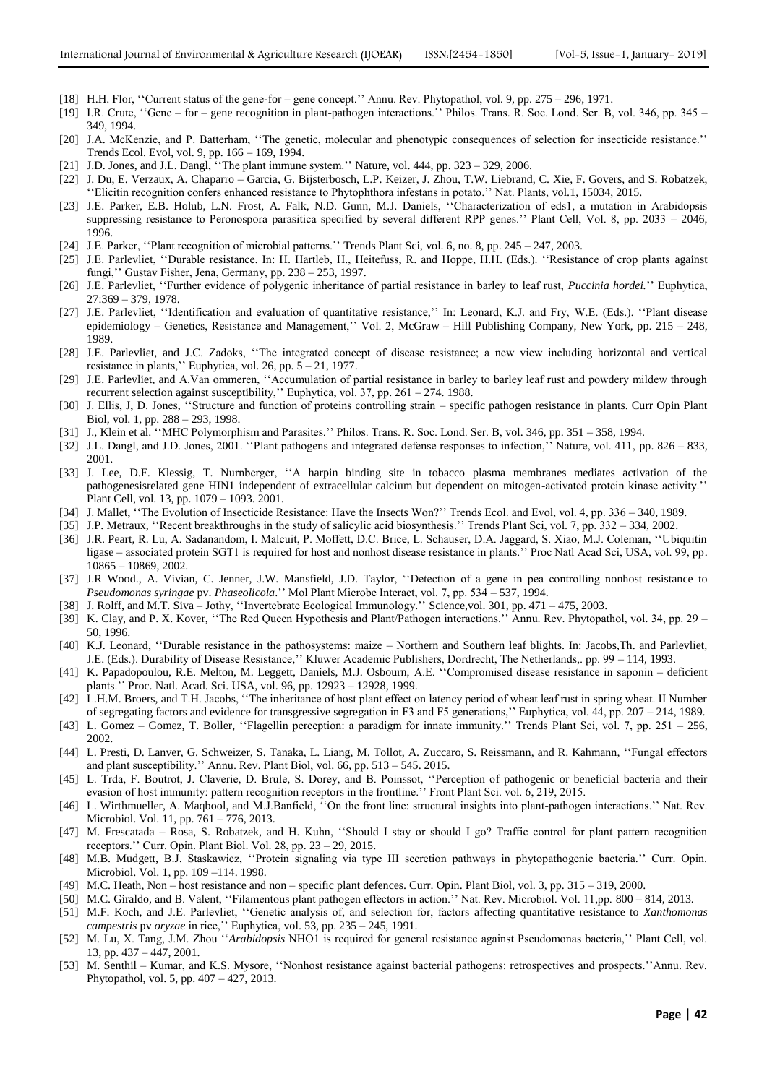- [18] H.H. Flor, "Current status of the gene-for gene concept." Annu. Rev. Phytopathol, vol. 9, pp. 275 296, 1971.
- [19] I.R. Crute, "Gene for gene recognition in plant-pathogen interactions." Philos. Trans. R. Soc. Lond. Ser. B, vol. 346, pp. 345 349, 1994.
- [20] J.A. McKenzie, and P. Batterham, "The genetic, molecular and phenotypic consequences of selection for insecticide resistance." Trends Ecol. Evol, vol. 9, pp. 166 – 169, 1994.
- [21] J.D. Jones, and J.L. Dangl, ""The plant immune system."" Nature, vol. 444, pp. 323 329, 2006.
- [22] J. Du, E. Verzaux, A. Chaparro Garcia, G. Bijsterbosch, L.P. Keizer, J. Zhou, T.W. Liebrand, C. Xie, F. Govers, and S. Robatzek, "Elicitin recognition confers enhanced resistance to Phytophthora infestans in potato." Nat. Plants, vol.1, 15034, 2015.
- [23] J.E. Parker, E.B. Holub, L.N. Frost, A. Falk, N.D. Gunn, M.J. Daniels, ""Characterization of eds1, a mutation in Arabidopsis suppressing resistance to Peronospora parasitica specified by several different RPP genes." Plant Cell, Vol. 8, pp. 2033 – 2046, 1996.
- [24] J.E. Parker, ""Plant recognition of microbial patterns."" Trends Plant Sci, vol. 6, no. 8, pp. 245 247, 2003.
- [25] J.E. Parlevliet, "Durable resistance. In: H. Hartleb, H., Heitefuss, R. and Hoppe, H.H. (Eds.). "Resistance of crop plants against fungi," Gustav Fisher, Jena, Germany, pp. 238 - 253, 1997.
- [26] J.E. Parlevliet, ""Further evidence of polygenic inheritance of partial resistance in barley to leaf rust, *Puccinia hordei.*"" Euphytica, 27:369 – 379, 1978.
- [27] J.E. Parlevliet, "Identification and evaluation of quantitative resistance," In: Leonard, K.J. and Fry, W.E. (Eds.). "Plant disease epidemiology – Genetics, Resistance and Management,"" Vol. 2, McGraw – Hill Publishing Company, New York, pp. 215 – 248, 1989.
- [28] J.E. Parlevliet, and J.C. Zadoks, "The integrated concept of disease resistance; a new view including horizontal and vertical resistance in plants,"" Euphytica, vol. 26, pp. 5 – 21, 1977.
- [29] J.E. Parlevliet, and A.Van ommeren, ""Accumulation of partial resistance in barley to barley leaf rust and powdery mildew through recurrent selection against susceptibility,"" Euphytica, vol. 37, pp. 261 – 274. 1988.
- [30] J. Ellis, J, D. Jones, ""Structure and function of proteins controlling strain specific pathogen resistance in plants. Curr Opin Plant Biol, vol. 1, pp. 288 – 293, 1998.
- [31] J., Klein et al. ""MHC Polymorphism and Parasites."" Philos. Trans. R. Soc. Lond. Ser. B, vol. 346, pp. 351 358, 1994.
- [32] J.L. Dangl, and J.D. Jones, 2001. ""Plant pathogens and integrated defense responses to infection,"" Nature, vol. 411, pp. 826 833, 2001.
- [33] J. Lee, D.F. Klessig, T. Nurnberger, "A harpin binding site in tobacco plasma membranes mediates activation of the pathogenesisrelated gene HIN1 independent of extracellular calcium but dependent on mitogen-activated protein kinase activity."" Plant Cell, vol. 13, pp. 1079 – 1093. 2001.
- [34] J. Mallet, ""The Evolution of Insecticide Resistance: Have the Insects Won?"" Trends Ecol. and Evol, vol. 4, pp. 336 340, 1989.
- [35] J.P. Metraux, ""Recent breakthroughs in the study of salicylic acid biosynthesis."" Trends Plant Sci, vol. 7, pp. 332 334, 2002.
- [36] J.R. Peart, R. Lu, A. Sadanandom, I. Malcuit, P. Moffett, D.C. Brice, L. Schauser, D.A. Jaggard, S. Xiao, M.J. Coleman, ""Ubiquitin ligase – associated protein SGT1 is required for host and nonhost disease resistance in plants."" Proc Natl Acad Sci, USA, vol. 99, pp. 10865 – 10869, 2002.
- [37] J.R Wood., A. Vivian, C. Jenner, J.W. Mansfield, J.D. Taylor, ""Detection of a gene in pea controlling nonhost resistance to *Pseudomonas syringae* pv. *Phaseolicola*."" Mol Plant Microbe Interact, vol. 7, pp. 534 – 537, 1994.
- [38] J. Rolff, and M.T. Siva Jothy, ""Invertebrate Ecological Immunology."" Science,vol. 301, pp. 471 475, 2003.
- [39] K. Clay, and P. X. Kover, ""The Red Queen Hypothesis and Plant/Pathogen interactions."" Annu. Rev. Phytopathol, vol. 34, pp. 29 50, 1996.
- [40] K.J. Leonard, ""Durable resistance in the pathosystems: maize Northern and Southern leaf blights. In: Jacobs,Th. and Parlevliet, J.E. (Eds.). Durability of Disease Resistance,"" Kluwer Academic Publishers, Dordrecht, The Netherlands,. pp. 99 – 114, 1993.
- [41] K. Papadopoulou, R.E. Melton, M. Leggett, Daniels, M.J. Osbourn, A.E. ""Compromised disease resistance in saponin deficient plants."" Proc. Natl. Acad. Sci. USA, vol. 96, pp. 12923 – 12928, 1999.
- [42] L.H.M. Broers, and T.H. Jacobs, ""The inheritance of host plant effect on latency period of wheat leaf rust in spring wheat. II Number of segregating factors and evidence for transgressive segregation in F3 and F5 generations,"" Euphytica, vol. 44, pp. 207 – 214, 1989.
- [43] L. Gomez Gomez, T. Boller, ""Flagellin perception: a paradigm for innate immunity."" Trends Plant Sci, vol. 7, pp. 251 256, 2002.
- [44] L. Presti, D. Lanver, G. Schweizer, S. Tanaka, L. Liang, M. Tollot, A. Zuccaro, S. Reissmann, and R. Kahmann, ""Fungal effectors and plant susceptibility."" Annu. Rev. Plant Biol, vol. 66, pp. 513 – 545. 2015.
- [45] L. Trda, F. Boutrot, J. Claverie, D. Brule, S. Dorey, and B. Poinssot, ""Perception of pathogenic or beneficial bacteria and their evasion of host immunity: pattern recognition receptors in the frontline." Front Plant Sci. vol. 6, 219, 2015.
- [46] L. Wirthmueller, A. Maqbool, and M.J.Banfield, ""On the front line: structural insights into plant-pathogen interactions."" Nat. Rev. Microbiol. Vol. 11, pp. 761 – 776, 2013.
- [47] M. Frescatada Rosa, S. Robatzek, and H. Kuhn, ""Should I stay or should I go? Traffic control for plant pattern recognition receptors."" Curr. Opin. Plant Biol. Vol. 28, pp. 23 – 29, 2015.
- [48] M.B. Mudgett, B.J. Staskawicz, ""Protein signaling via type III secretion pathways in phytopathogenic bacteria."" Curr. Opin. Microbiol. Vol. 1, pp. 109 –114. 1998.
- [49] M.C. Heath, Non host resistance and non specific plant defences. Curr. Opin. Plant Biol, vol. 3, pp. 315 319, 2000.
- [50] M.C. Giraldo, and B. Valent, ""Filamentous plant pathogen effectors in action."" Nat. Rev. Microbiol. Vol. 11,pp. 800 814, 2013.
- [51] M.F. Koch, and J.E. Parlevliet, ""Genetic analysis of, and selection for, factors affecting quantitative resistance to *Xanthomonas campestris* pv *oryzae* in rice,"" Euphytica, vol. 53, pp. 235 – 245, 1991.
- [52] M. Lu, X. Tang, J.M. Zhou ""*Arabidopsis* NHO1 is required for general resistance against Pseudomonas bacteria,"" Plant Cell, vol. 13, pp. 437 – 447, 2001.
- [53] M. Senthil Kumar, and K.S. Mysore, ""Nonhost resistance against bacterial pathogens: retrospectives and prospects.""Annu. Rev. Phytopathol, vol. 5, pp. 407 – 427, 2013.